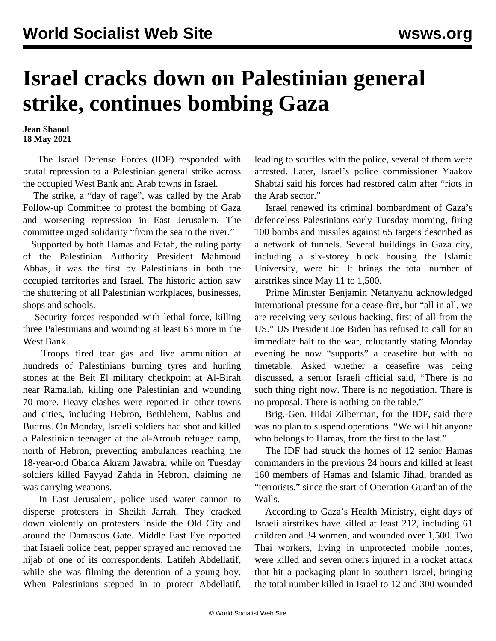## **Israel cracks down on Palestinian general strike, continues bombing Gaza**

**Jean Shaoul 18 May 2021**

 The Israel Defense Forces (IDF) responded with brutal repression to a Palestinian general strike across the occupied West Bank and Arab towns in Israel.

 The strike, a "day of rage", was called by the Arab Follow-up Committee to protest the bombing of Gaza and worsening repression in East Jerusalem. The committee urged solidarity "from the sea to the river."

 Supported by both Hamas and Fatah, the ruling party of the Palestinian Authority President Mahmoud Abbas, it was the first by Palestinians in both the occupied territories and Israel. The historic action saw the shuttering of all Palestinian workplaces, businesses, shops and schools.

 Security forces responded with lethal force, killing three Palestinians and wounding at least 63 more in the West Bank.

 Troops fired tear gas and live ammunition at hundreds of Palestinians burning tyres and hurling stones at the Beit El military checkpoint at Al-Birah near Ramallah, killing one Palestinian and wounding 70 more. Heavy clashes were reported in other towns and cities, including Hebron, Bethlehem, Nablus and Budrus. On Monday, Israeli soldiers had shot and killed a Palestinian teenager at the al-Arroub refugee camp, north of Hebron, preventing ambulances reaching the 18-year-old Obaida Akram Jawabra, while on Tuesday soldiers killed Fayyad Zahda in Hebron, claiming he was carrying weapons.

 In East Jerusalem, police used water cannon to disperse protesters in Sheikh Jarrah. They cracked down violently on protesters inside the Old City and around the Damascus Gate. Middle East Eye reported that Israeli police beat, pepper sprayed and removed the hijab of one of its correspondents, Latifeh Abdellatif, while she was filming the detention of a young boy. When Palestinians stepped in to protect Abdellatif, leading to scuffles with the police, several of them were arrested. Later, Israel's police commissioner Yaakov Shabtai said his forces had restored calm after "riots in the Arab sector."

 Israel renewed its criminal bombardment of Gaza's defenceless Palestinians early Tuesday morning, firing 100 bombs and missiles against 65 targets described as a network of tunnels. Several buildings in Gaza city, including a six-storey block housing the Islamic University, were hit. It brings the total number of airstrikes since May 11 to 1,500.

 Prime Minister Benjamin Netanyahu acknowledged international pressure for a cease-fire, but "all in all, we are receiving very serious backing, first of all from the US." US President Joe Biden has refused to call for an immediate halt to the war, reluctantly stating Monday evening he now "supports" a ceasefire but with no timetable. Asked whether a ceasefire was being discussed, a senior Israeli official said, "There is no such thing right now. There is no negotiation. There is no proposal. There is nothing on the table."

 Brig.-Gen. Hidai Zilberman, for the IDF, said there was no plan to suspend operations. "We will hit anyone who belongs to Hamas, from the first to the last."

 The IDF had struck the homes of 12 senior Hamas commanders in the previous 24 hours and killed at least 160 members of Hamas and Islamic Jihad, branded as "terrorists," since the start of Operation Guardian of the Walls.

 According to Gaza's Health Ministry, eight days of Israeli airstrikes have killed at least 212, including 61 children and 34 women, and wounded over 1,500. Two Thai workers, living in unprotected mobile homes, were killed and seven others injured in a rocket attack that hit a packaging plant in southern Israel, bringing the total number killed in Israel to 12 and 300 wounded